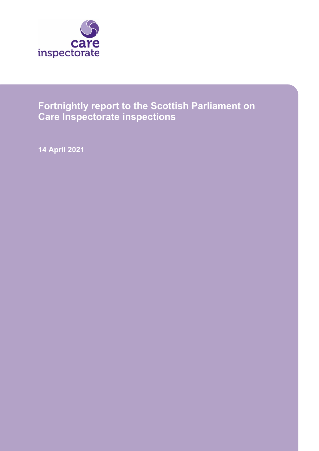

# **Fortnightly report to the Scottish Parliament on Care Inspectorate inspections**

**14 April 2021**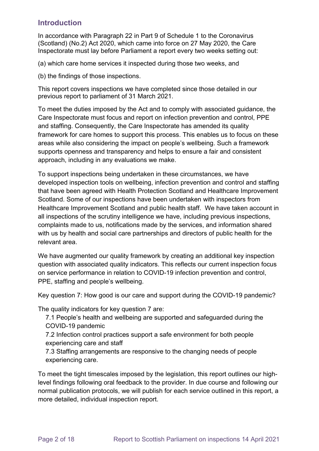# **Introduction**

In accordance with Paragraph 22 in Part 9 of Schedule 1 to the Coronavirus (Scotland) (No.2) Act 2020, which came into force on 27 May 2020, the Care Inspectorate must lay before Parliament a report every two weeks setting out:

(a) which care home services it inspected during those two weeks, and

(b) the findings of those inspections.

This report covers inspections we have completed since those detailed in our previous report to parliament of 31 March 2021.

To meet the duties imposed by the Act and to comply with associated guidance, the Care Inspectorate must focus and report on infection prevention and control, PPE and staffing. Consequently, the Care Inspectorate has amended its quality framework for care homes to support this process. This enables us to focus on these areas while also considering the impact on people's wellbeing. Such a framework supports openness and transparency and helps to ensure a fair and consistent approach, including in any evaluations we make.

To support inspections being undertaken in these circumstances, we have developed inspection tools on wellbeing, infection prevention and control and staffing that have been agreed with Health Protection Scotland and Healthcare Improvement Scotland. Some of our inspections have been undertaken with inspectors from Healthcare Improvement Scotland and public health staff. We have taken account in all inspections of the scrutiny intelligence we have, including previous inspections, complaints made to us, notifications made by the services, and information shared with us by health and social care partnerships and directors of public health for the relevant area.

We have augmented our quality framework by creating an additional key inspection question with associated quality indicators. This reflects our current inspection focus on service performance in relation to COVID-19 infection prevention and control, PPE, staffing and people's wellbeing.

Key question 7: How good is our care and support during the COVID-19 pandemic?

The quality indicators for key question 7 are:

- 7.1 People's health and wellbeing are supported and safeguarded during the COVID-19 pandemic
- 7.2 Infection control practices support a safe environment for both people experiencing care and staff
- 7.3 Staffing arrangements are responsive to the changing needs of people experiencing care.

To meet the tight timescales imposed by the legislation, this report outlines our highlevel findings following oral feedback to the provider. In due course and following our normal publication protocols, we will publish for each service outlined in this report, a more detailed, individual inspection report.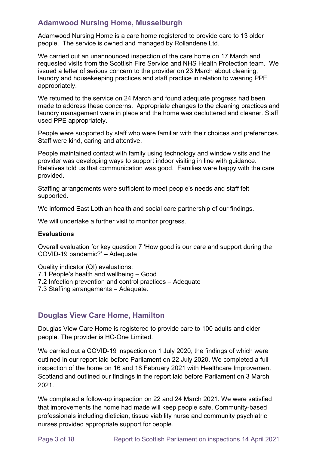# **Adamwood Nursing Home, Musselburgh**

Adamwood Nursing Home is a care home registered to provide care to 13 older people. The service is owned and managed by Rollandene Ltd.

We carried out an unannounced inspection of the care home on 17 March and requested visits from the Scottish Fire Service and NHS Health Protection team. We issued a letter of serious concern to the provider on 23 March about cleaning, laundry and housekeeping practices and staff practice in relation to wearing PPE appropriately.

We returned to the service on 24 March and found adequate progress had been made to address these concerns. Appropriate changes to the cleaning practices and laundry management were in place and the home was decluttered and cleaner. Staff used PPE appropriately.

People were supported by staff who were familiar with their choices and preferences. Staff were kind, caring and attentive.

People maintained contact with family using technology and window visits and the provider was developing ways to support indoor visiting in line with guidance. Relatives told us that communication was good. Families were happy with the care provided.

Staffing arrangements were sufficient to meet people's needs and staff felt supported.

We informed East Lothian health and social care partnership of our findings.

We will undertake a further visit to monitor progress.

#### **Evaluations**

Overall evaluation for key question 7 'How good is our care and support during the COVID-19 pandemic?' – Adequate

Quality indicator (QI) evaluations: 7.1 People's health and wellbeing – Good 7.2 Infection prevention and control practices – Adequate 7.3 Staffing arrangements – Adequate.

### **Douglas View Care Home, Hamilton**

Douglas View Care Home is registered to provide care to 100 adults and older people. The provider is HC-One Limited.

We carried out a COVID-19 inspection on 1 July 2020, the findings of which were outlined in our report laid before Parliament on 22 July 2020. We completed a full inspection of the home on 16 and 18 February 2021 with Healthcare Improvement Scotland and outlined our findings in the report laid before Parliament on 3 March 2021.

We completed a follow-up inspection on 22 and 24 March 2021. We were satisfied that improvements the home had made will keep people safe. Community-based professionals including dietician, tissue viability nurse and community psychiatric nurses provided appropriate support for people.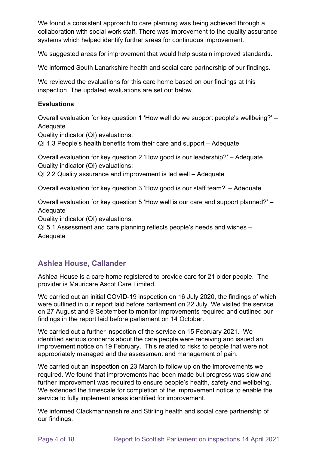We found a consistent approach to care planning was being achieved through a collaboration with social work staff. There was improvement to the quality assurance systems which helped identify further areas for continuous improvement.

We suggested areas for improvement that would help sustain improved standards.

We informed South Lanarkshire health and social care partnership of our findings.

We reviewed the evaluations for this care home based on our findings at this inspection. The updated evaluations are set out below.

#### **Evaluations**

Overall evaluation for key question 1 'How well do we support people's wellbeing?' – **Adequate** 

Quality indicator (QI) evaluations:

QI 1.3 People's health benefits from their care and support – Adequate

Overall evaluation for key question 2 'How good is our leadership?' – Adequate Quality indicator (QI) evaluations:

QI 2.2 Quality assurance and improvement is led well – Adequate

Overall evaluation for key question 3 'How good is our staff team?' – Adequate

Overall evaluation for key question 5 'How well is our care and support planned?' – Adequate

Quality indicator (QI) evaluations:

QI 5.1 Assessment and care planning reflects people's needs and wishes – Adequate

# **Ashlea House, Callander**

Ashlea House is a care home registered to provide care for 21 older people. The provider is Mauricare Ascot Care Limited.

We carried out an initial COVID-19 inspection on 16 July 2020, the findings of which were outlined in our report laid before parliament on 22 July. We visited the service on 27 August and 9 September to monitor improvements required and outlined our findings in the report laid before parliament on 14 October.

We carried out a further inspection of the service on 15 February 2021. We identified serious concerns about the care people were receiving and issued an improvement notice on 19 February. This related to risks to people that were not appropriately managed and the assessment and management of pain.

We carried out an inspection on 23 March to follow up on the improvements we required. We found that improvements had been made but progress was slow and further improvement was required to ensure people's health, safety and wellbeing. We extended the timescale for completion of the improvement notice to enable the service to fully implement areas identified for improvement.

We informed Clackmannanshire and Stirling health and social care partnership of our findings.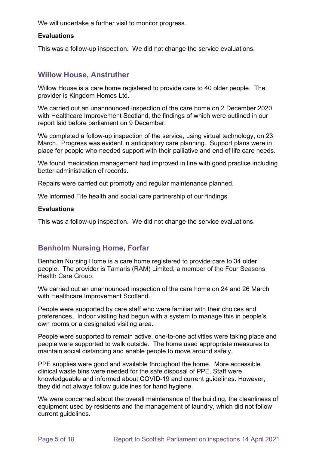We will undertake a further visit to monitor progress.

#### **Evaluations**

This was a follow-up inspection. We did not change the service evaluations.

### **Willow House, Anstruther**

Willow House is a care home registered to provide care to 40 older people. The provider is Kingdom Homes Ltd.

We carried out an unannounced inspection of the care home on 2 December 2020 with Healthcare Improvement Scotland, the findings of which were outlined in our report laid before parliament on 9 December.

We completed a follow-up inspection of the service, using virtual technology, on 23 March. Progress was evident in anticipatory care planning. Support plans were in place for people who needed support with their palliative and end of life care needs.

We found medication management had improved in line with good practice including better administration of records.

Repairs were carried out promptly and regular maintenance planned.

We informed Fife health and social care partnership of our findings.

#### **Evaluations**

This was a follow-up inspection. We did not change the service evaluations.

### **Benholm Nursing Home, Forfar**

Benholm Nursing Home is a care home registered to provide care to 34 older people. The provider is Tamaris (RAM) Limited, a member of the Four Seasons Health Care Group.

We carried out an unannounced inspection of the care home on 24 and 26 March with Healthcare Improvement Scotland.

People were supported by care staff who were familiar with their choices and preferences. Indoor visiting had begun with a system to manage this in people's own rooms or a designated visiting area.

People were supported to remain active, one-to-one activities were taking place and people were supported to walk outside. The home used appropriate measures to maintain social distancing and enable people to move around safely.

PPE supplies were good and available throughout the home. More accessible clinical waste bins were needed for the safe disposal of PPE. Staff were knowledgeable and informed about COVID-19 and current guidelines. However, they did not always follow guidelines for hand hygiene.

We were concerned about the overall maintenance of the building, the cleanliness of equipment used by residents and the management of laundry, which did not follow current guidelines.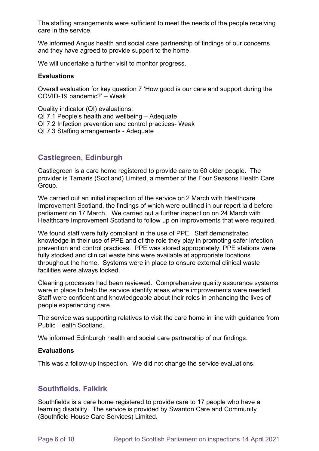The staffing arrangements were sufficient to meet the needs of the people receiving care in the service.

We informed Angus health and social care partnership of findings of our concerns and they have agreed to provide support to the home.

We will undertake a further visit to monitor progress.

#### **Evaluations**

Overall evaluation for key question 7 'How good is our care and support during the COVID-19 pandemic?' – Weak

Quality indicator (QI) evaluations:

- QI 7.1 People's health and wellbeing Adequate
- QI 7.2 Infection prevention and control practices- Weak
- QI 7.3 Staffing arrangements Adequate

# **Castlegreen, Edinburgh**

Castlegreen is a care home registered to provide care to 60 older people. The provider is Tamaris (Scotland) Limited, a member of the Four Seasons Health Care Group.

We carried out an initial inspection of the service on 2 March with Healthcare Improvement Scotland, the findings of which were outlined in our report laid before parliament on 17 March.  We carried out a further inspection on 24 March with Healthcare Improvement Scotland to follow up on improvements that were required.

We found staff were fully compliant in the use of PPE. Staff demonstrated knowledge in their use of PPE and of the role they play in promoting safer infection prevention and control practices. PPE was stored appropriately; PPE stations were fully stocked and clinical waste bins were available at appropriate locations throughout the home. Systems were in place to ensure external clinical waste facilities were always locked.

Cleaning processes had been reviewed. Comprehensive quality assurance systems were in place to help the service identify areas where improvements were needed. Staff were confident and knowledgeable about their roles in enhancing the lives of people experiencing care.

The service was supporting relatives to visit the care home in line with guidance from Public Health Scotland.

We informed Edinburgh health and social care partnership of our findings.

#### **Evaluations**

This was a follow-up inspection. We did not change the service evaluations.

### **Southfields, Falkirk**

Southfields is a care home registered to provide care to 17 people who have a learning disability. The service is provided by Swanton Care and Community (Southfield House Care Services) Limited.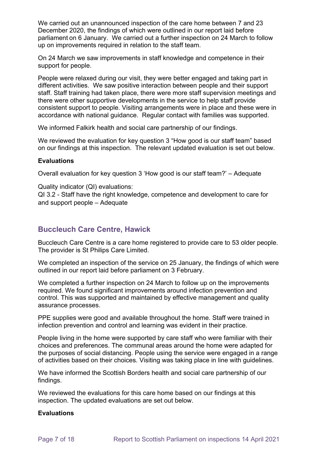We carried out an unannounced inspection of the care home between 7 and 23 December 2020, the findings of which were outlined in our report laid before parliament on 6 January. We carried out a further inspection on 24 March to follow up on improvements required in relation to the staff team.

On 24 March we saw improvements in staff knowledge and competence in their support for people.

People were relaxed during our visit, they were better engaged and taking part in different activities. We saw positive interaction between people and their support staff. Staff training had taken place, there were more staff supervision meetings and there were other supportive developments in the service to help staff provide consistent support to people. Visiting arrangements were in place and these were in accordance with national guidance. Regular contact with families was supported.

We informed Falkirk health and social care partnership of our findings.

We reviewed the evaluation for key question 3 "How good is our staff team" based on our findings at this inspection. The relevant updated evaluation is set out below.

#### **Evaluations**

Overall evaluation for key question 3 'How good is our staff team?' – Adequate

Quality indicator (QI) evaluations: QI 3.2 - Staff have the right knowledge, competence and development to care for and support people – Adequate

# **Buccleuch Care Centre, Hawick**

Buccleuch Care Centre is a care home registered to provide care to 53 older people. The provider is St Philips Care Limited.

We completed an inspection of the service on 25 January, the findings of which were outlined in our report laid before parliament on 3 February.

We completed a further inspection on 24 March to follow up on the improvements required. We found significant improvements around infection prevention and control. This was supported and maintained by effective management and quality assurance processes.

PPE supplies were good and available throughout the home. Staff were trained in infection prevention and control and learning was evident in their practice.

People living in the home were supported by care staff who were familiar with their choices and preferences. The communal areas around the home were adapted for the purposes of social distancing. People using the service were engaged in a range of activities based on their choices. Visiting was taking place in line with guidelines.

We have informed the Scottish Borders health and social care partnership of our findings.

We reviewed the evaluations for this care home based on our findings at this inspection. The updated evaluations are set out below.

#### **Evaluations**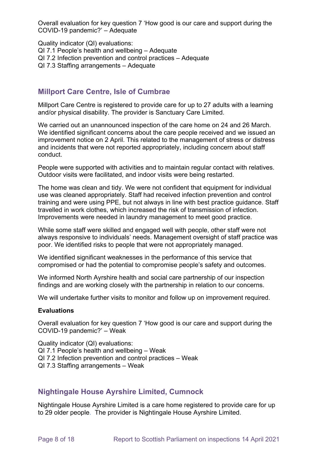Overall evaluation for key question 7 'How good is our care and support during the COVID-19 pandemic?' – Adequate

Quality indicator (QI) evaluations:

- QI 7.1 People's health and wellbeing Adequate
- QI 7.2 Infection prevention and control practices Adequate
- QI 7.3 Staffing arrangements Adequate

# **Millport Care Centre, Isle of Cumbrae**

Millport Care Centre is registered to provide care for up to 27 adults with a learning and/or physical disability. The provider is Sanctuary Care Limited.

We carried out an unannounced inspection of the care home on 24 and 26 March. We identified significant concerns about the care people received and we issued an improvement notice on 2 April. This related to the management of stress or distress and incidents that were not reported appropriately, including concern about staff conduct.

People were supported with activities and to maintain regular contact with relatives. Outdoor visits were facilitated, and indoor visits were being restarted.

The home was clean and tidy. We were not confident that equipment for individual use was cleaned appropriately. Staff had received infection prevention and control training and were using PPE, but not always in line with best practice guidance. Staff travelled in work clothes, which increased the risk of transmission of infection. Improvements were needed in laundry management to meet good practice.

While some staff were skilled and engaged well with people, other staff were not always responsive to individuals' needs. Management oversight of staff practice was poor. We identified risks to people that were not appropriately managed.

We identified significant weaknesses in the performance of this service that compromised or had the potential to compromise people's safety and outcomes.

We informed North Ayrshire health and social care partnership of our inspection findings and are working closely with the partnership in relation to our concerns.

We will undertake further visits to monitor and follow up on improvement required.

#### **Evaluations**

Overall evaluation for key question 7 'How good is our care and support during the COVID-19 pandemic?' – Weak

Quality indicator (QI) evaluations: QI 7.1 People's health and wellbeing – Weak QI 7.2 Infection prevention and control practices – Weak QI 7.3 Staffing arrangements – Weak

# **Nightingale House Ayrshire Limited, Cumnock**

Nightingale House Ayrshire Limited is a care home registered to provide care for up to 29 older people. The provider is Nightingale House Ayrshire Limited.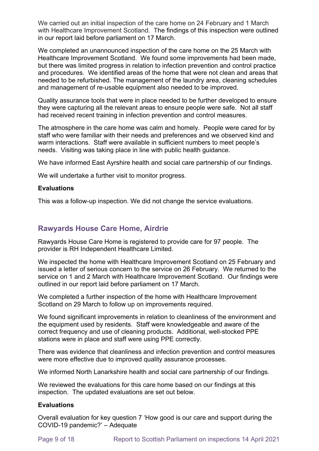We carried out an initial inspection of the care home on 24 February and 1 March with Healthcare Improvement Scotland. The findings of this inspection were outlined in our report laid before parliament on 17 March.

We completed an unannounced inspection of the care home on the 25 March with Healthcare Improvement Scotland. We found some improvements had been made, but there was limited progress in relation to infection prevention and control practice and procedures. We identified areas of the home that were not clean and areas that needed to be refurbished. The management of the laundry area, cleaning schedules and management of re-usable equipment also needed to be improved.

Quality assurance tools that were in place needed to be further developed to ensure they were capturing all the relevant areas to ensure people were safe. Not all staff had received recent training in infection prevention and control measures.

The atmosphere in the care home was calm and homely. People were cared for by staff who were familiar with their needs and preferences and we observed kind and warm interactions. Staff were available in sufficient numbers to meet people's needs. Visiting was taking place in line with public health guidance.

We have informed East Ayrshire health and social care partnership of our findings.

We will undertake a further visit to monitor progress.

#### **Evaluations**

This was a follow-up inspection. We did not change the service evaluations.

# **Rawyards House Care Home, Airdrie**

Rawyards House Care Home is registered to provide care for 97 people. The provider is RH Independent Healthcare Limited.

We inspected the home with Healthcare Improvement Scotland on 25 February and issued a letter of serious concern to the service on 26 February. We returned to the service on 1 and 2 March with Healthcare Improvement Scotland. Our findings were outlined in our report laid before parliament on 17 March.

We completed a further inspection of the home with Healthcare Improvement Scotland on 29 March to follow up on improvements required.

We found significant improvements in relation to cleanliness of the environment and the equipment used by residents. Staff were knowledgeable and aware of the correct frequency and use of cleaning products. Additional, well-stocked PPE stations were in place and staff were using PPE correctly.

There was evidence that cleanliness and infection prevention and control measures were more effective due to improved quality assurance processes.

We informed North Lanarkshire health and social care partnership of our findings.

We reviewed the evaluations for this care home based on our findings at this inspection. The updated evaluations are set out below.

#### **Evaluations**

Overall evaluation for key question 7 'How good is our care and support during the COVID-19 pandemic?' – Adequate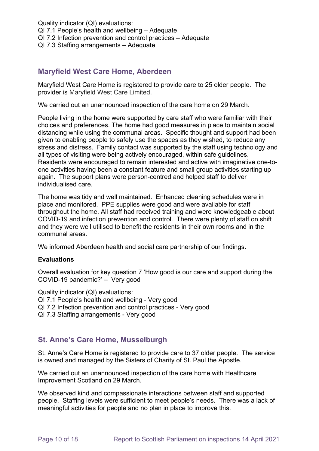Quality indicator (QI) evaluations: QI 7.1 People's health and wellbeing – Adequate QI 7.2 Infection prevention and control practices – Adequate QI 7.3 Staffing arrangements – Adequate

# **Maryfield West Care Home, Aberdeen**

Maryfield West Care Home is registered to provide care to 25 older people. The provider is Maryfield West Care Limited.

We carried out an unannounced inspection of the care home on 29 March.

People living in the home were supported by care staff who were familiar with their choices and preferences. The home had good measures in place to maintain social distancing while using the communal areas. Specific thought and support had been given to enabling people to safely use the spaces as they wished, to reduce any stress and distress. Family contact was supported by the staff using technology and all types of visiting were being actively encouraged, within safe guidelines. Residents were encouraged to remain interested and active with imaginative one-toone activities having been a constant feature and small group activities starting up again. The support plans were person-centred and helped staff to deliver individualised care.

The home was tidy and well maintained. Enhanced cleaning schedules were in place and monitored. PPE supplies were good and were available for staff throughout the home. All staff had received training and were knowledgeable about COVID-19 and infection prevention and control. There were plenty of staff on shift and they were well utilised to benefit the residents in their own rooms and in the communal areas.

We informed Aberdeen health and social care partnership of our findings.

#### **Evaluations**

Overall evaluation for key question 7 'How good is our care and support during the COVID-19 pandemic?' – Very good

Quality indicator (QI) evaluations:

- QI 7.1 People's health and wellbeing Very good
- QI 7.2 Infection prevention and control practices Very good
- QI 7.3 Staffing arrangements Very good

### **St. Anne's Care Home, Musselburgh**

St. Anne's Care Home is registered to provide care to 37 older people. The service is owned and managed by the Sisters of Charity of St. Paul the Apostle.

We carried out an unannounced inspection of the care home with Healthcare Improvement Scotland on 29 March.

We observed kind and compassionate interactions between staff and supported people. Staffing levels were sufficient to meet people's needs. There was a lack of meaningful activities for people and no plan in place to improve this.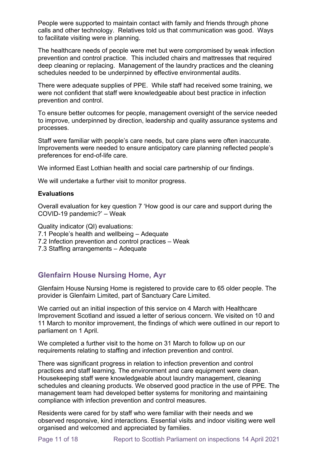People were supported to maintain contact with family and friends through phone calls and other technology. Relatives told us that communication was good. Ways to facilitate visiting were in planning.

The healthcare needs of people were met but were compromised by weak infection prevention and control practice. This included chairs and mattresses that required deep cleaning or replacing. Management of the laundry practices and the cleaning schedules needed to be underpinned by effective environmental audits.

There were adequate supplies of PPE. While staff had received some training, we were not confident that staff were knowledgeable about best practice in infection prevention and control.

To ensure better outcomes for people, management oversight of the service needed to improve, underpinned by direction, leadership and quality assurance systems and processes.

Staff were familiar with people's care needs, but care plans were often inaccurate. Improvements were needed to ensure anticipatory care planning reflected people's preferences for end-of-life care.

We informed East Lothian health and social care partnership of our findings.

We will undertake a further visit to monitor progress.

#### **Evaluations**

Overall evaluation for key question 7 'How good is our care and support during the COVID-19 pandemic?' – Weak

Quality indicator (QI) evaluations:

- 7.1 People's health and wellbeing Adequate
- 7.2 Infection prevention and control practices Weak

7.3 Staffing arrangements – Adequate

### **Glenfairn House Nursing Home, Ayr**

Glenfairn House Nursing Home is registered to provide care to 65 older people. The provider is Glenfairn Limited, part of Sanctuary Care Limited.

We carried out an initial inspection of this service on 4 March with Healthcare Improvement Scotland and issued a letter of serious concern. We visited on 10 and 11 March to monitor improvement, the findings of which were outlined in our report to parliament on 1 April.

We completed a further visit to the home on 31 March to follow up on our requirements relating to staffing and infection prevention and control.

There was significant progress in relation to infection prevention and control practices and staff learning. The environment and care equipment were clean. Housekeeping staff were knowledgeable about laundry management, cleaning schedules and cleaning products. We observed good practice in the use of PPE. The management team had developed better systems for monitoring and maintaining compliance with infection prevention and control measures.

Residents were cared for by staff who were familiar with their needs and we observed responsive, kind interactions. Essential visits and indoor visiting were well organised and welcomed and appreciated by families.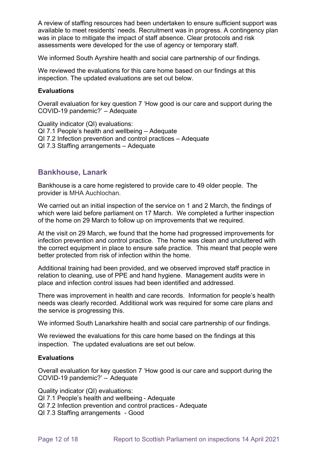A review of staffing resources had been undertaken to ensure sufficient support was available to meet residents' needs. Recruitment was in progress. A contingency plan was in place to mitigate the impact of staff absence. Clear protocols and risk assessments were developed for the use of agency or temporary staff.

We informed South Ayrshire health and social care partnership of our findings.

We reviewed the evaluations for this care home based on our findings at this inspection. The updated evaluations are set out below.

#### **Evaluations**

Overall evaluation for key question 7 'How good is our care and support during the COVID-19 pandemic?' – Adequate

Quality indicator (QI) evaluations: QI 7.1 People's health and wellbeing – Adequate QI 7.2 Infection prevention and control practices – Adequate QI 7.3 Staffing arrangements – Adequate

### **Bankhouse, Lanark**

Bankhouse is a care home registered to provide care to 49 older people.  The provider is MHA Auchlochan.  

We carried out an initial inspection of the service on 1 and 2 March, the findings of which were laid before parliament on 17 March. We completed a further inspection of the home on 29 March to follow up on improvements that we required.

At the visit on 29 March, we found that the home had progressed improvements for infection prevention and control practice. The home was clean and uncluttered with the correct equipment in place to ensure safe practice. This meant that people were better protected from risk of infection within the home.

Additional training had been provided, and we observed improved staff practice in relation to cleaning, use of PPE and hand hygiene. Management audits were in place and infection control issues had been identified and addressed.

There was improvement in health and care records. Information for people's health needs was clearly recorded. Additional work was required for some care plans and the service is progressing this.

We informed South Lanarkshire health and social care partnership of our findings.

We reviewed the evaluations for this care home based on the findings at this inspection. The updated evaluations are set out below.

#### **Evaluations**

Overall evaluation for key question 7 'How good is our care and support during the COVID-19 pandemic?' –  Adequate

Quality indicator (QI) evaluations: 

QI 7.1 People's health and wellbeing - Adequate

QI 7.2 Infection prevention and control practices - Adequate

QI 7.3 Staffing arrangements   - Good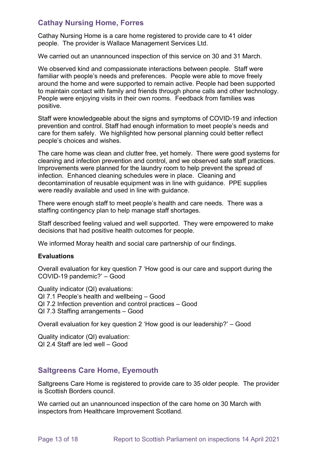# **Cathay Nursing Home, Forres**

Cathay Nursing Home is a care home registered to provide care to 41 older people. The provider is Wallace Management Services Ltd.

We carried out an unannounced inspection of this service on 30 and 31 March.

We observed kind and compassionate interactions between people. Staff were familiar with people's needs and preferences. People were able to move freely around the home and were supported to remain active. People had been supported to maintain contact with family and friends through phone calls and other technology. People were enjoying visits in their own rooms. Feedback from families was positive.

Staff were knowledgeable about the signs and symptoms of COVID-19 and infection prevention and control. Staff had enough information to meet people's needs and care for them safely. We highlighted how personal planning could better reflect people's choices and wishes.

The care home was clean and clutter free, yet homely. There were good systems for cleaning and infection prevention and control, and we observed safe staff practices. Improvements were planned for the laundry room to help prevent the spread of infection. Enhanced cleaning schedules were in place. Cleaning and decontamination of reusable equipment was in line with guidance. PPE supplies were readily available and used in line with guidance.

There were enough staff to meet people's health and care needs. There was a staffing contingency plan to help manage staff shortages.

Staff described feeling valued and well supported. They were empowered to make decisions that had positive health outcomes for people.

We informed Moray health and social care partnership of our findings.

#### **Evaluations**

Overall evaluation for key question 7 'How good is our care and support during the COVID-19 pandemic?' – Good

Quality indicator (QI) evaluations: QI 7.1 People's health and wellbeing – Good QI 7.2 Infection prevention and control practices – Good QI 7.3 Staffing arrangements – Good

Overall evaluation for key question 2 'How good is our leadership?' – Good

Quality indicator (QI) evaluation: QI 2.4 Staff are led well – Good

# **Saltgreens Care Home, Eyemouth**

Saltgreens Care Home is registered to provide care to 35 older people. The provider is Scottish Borders council.

We carried out an unannounced inspection of the care home on 30 March with inspectors from Healthcare Improvement Scotland.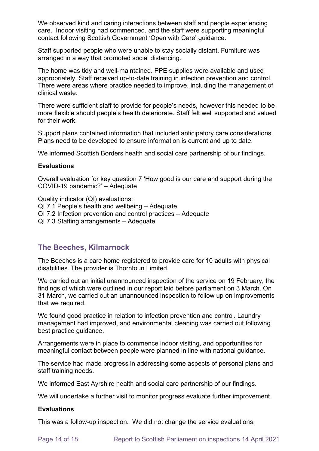We observed kind and caring interactions between staff and people experiencing care. Indoor visiting had commenced, and the staff were supporting meaningful contact following Scottish Government 'Open with Care' guidance.

Staff supported people who were unable to stay socially distant. Furniture was arranged in a way that promoted social distancing.

The home was tidy and well-maintained. PPE supplies were available and used appropriately. Staff received up-to-date training in infection prevention and control. There were areas where practice needed to improve, including the management of clinical waste.

There were sufficient staff to provide for people's needs, however this needed to be more flexible should people's health deteriorate. Staff felt well supported and valued for their work.

Support plans contained information that included anticipatory care considerations. Plans need to be developed to ensure information is current and up to date.

We informed Scottish Borders health and social care partnership of our findings.

#### **Evaluations**

Overall evaluation for key question 7 'How good is our care and support during the COVID-19 pandemic?' – Adequate

Quality indicator (QI) evaluations:

QI 7.1 People's health and wellbeing – Adequate

- QI 7.2 Infection prevention and control practices Adequate
- QI 7.3 Staffing arrangements Adequate

### **The Beeches, Kilmarnock**

The Beeches is a care home registered to provide care for 10 adults with physical disabilities. The provider is Thorntoun Limited.

We carried out an initial unannounced inspection of the service on 19 February, the findings of which were outlined in our report laid before parliament on 3 March. On 31 March, we carried out an unannounced inspection to follow up on improvements that we required.

We found good practice in relation to infection prevention and control. Laundry management had improved, and environmental cleaning was carried out following best practice guidance.

Arrangements were in place to commence indoor visiting, and opportunities for meaningful contact between people were planned in line with national guidance.

The service had made progress in addressing some aspects of personal plans and staff training needs.

We informed East Ayrshire health and social care partnership of our findings.

We will undertake a further visit to monitor progress evaluate further improvement.

#### **Evaluations**

This was a follow-up inspection. We did not change the service evaluations.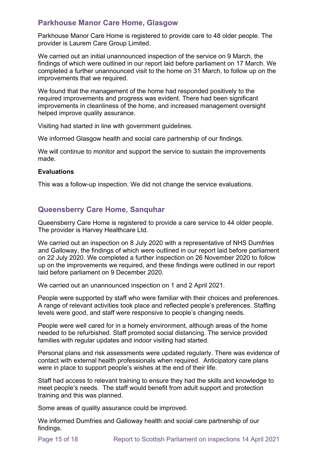# **Parkhouse Manor Care Home, Glasgow**

Parkhouse Manor Care Home is registered to provide care to 48 older people. The provider is Laurem Care Group Limited.

We carried out an initial unannounced inspection of the service on 9 March, the findings of which were outlined in our report laid before parliament on 17 March. We completed a further unannounced visit to the home on 31 March, to follow up on the improvements that we required.

We found that the management of the home had responded positively to the required improvements and progress was evident. There had been significant improvements in cleanliness of the home, and increased management oversight helped improve quality assurance.

Visiting had started in line with government guidelines.

We informed Glasgow health and social care partnership of our findings.

We will continue to monitor and support the service to sustain the improvements made.

#### **Evaluations**

This was a follow-up inspection. We did not change the service evaluations.

# **Queensberry Care Home, Sanquhar**

Queensberry Care Home is registered to provide a care service to 44 older people. The provider is Harvey Healthcare Ltd.

We carried out an inspection on 8 July 2020 with a representative of NHS Dumfries and Galloway, the findings of which were outlined in our report laid before parliament on 22 July 2020. We completed a further inspection on 26 November 2020 to follow up on the improvements we required, and these findings were outlined in our report laid before parliament on 9 December 2020.

We carried out an unannounced inspection on 1 and 2 April 2021.

People were supported by staff who were familiar with their choices and preferences. A range of relevant activities took place and reflected people's preferences. Staffing levels were good, and staff were responsive to people's changing needs.

People were well cared for in a homely environment, although areas of the home needed to be refurbished. Staff promoted social distancing. The service provided families with regular updates and indoor visiting had started.

Personal plans and risk assessments were updated regularly. There was evidence of contact with external health professionals when required. Anticipatory care plans were in place to support people's wishes at the end of their life.

Staff had access to relevant training to ensure they had the skills and knowledge to meet people's needs. The staff would benefit from adult support and protection training and this was planned.

Some areas of quality assurance could be improved.

We informed Dumfries and Galloway health and social care partnership of our findings.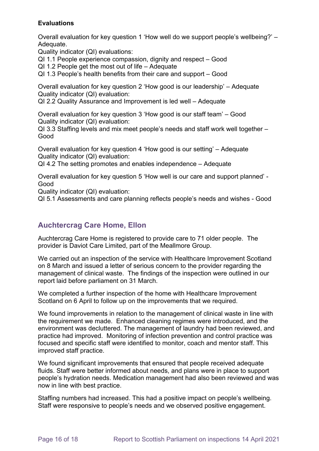### **Evaluations**

Overall evaluation for key question 1 'How well do we support people's wellbeing?' – Adequate.

Quality indicator (QI) evaluations:

QI 1.1 People experience compassion, dignity and respect – Good

QI 1.2 People get the most out of life – Adequate

QI 1.3 People's health benefits from their care and support – Good

Overall evaluation for key question 2 'How good is our leadership' – Adequate Quality indicator (QI) evaluation:

QI 2.2 Quality Assurance and Improvement is led well – Adequate

Overall evaluation for key question 3 'How good is our staff team' – Good Quality indicator (QI) evaluation:

QI 3.3 Staffing levels and mix meet people's needs and staff work well together – Good

Overall evaluation for key question 4 'How good is our setting' – Adequate Quality indicator (QI) evaluation:

QI 4.2 The setting promotes and enables independence – Adequate

Overall evaluation for key question 5 'How well is our care and support planned' - Good

Quality indicator (QI) evaluation:

QI 5.1 Assessments and care planning reflects people's needs and wishes - Good

# **Auchtercrag Care Home, Ellon**

Auchtercrag Care Home is registered to provide care to 71 older people. The provider is Daviot Care Limited, part of the Meallmore Group.

We carried out an inspection of the service with Healthcare Improvement Scotland on 8 March and issued a letter of serious concern to the provider regarding the management of clinical waste. The findings of the inspection were outlined in our report laid before parliament on 31 March.

We completed a further inspection of the home with Healthcare Improvement Scotland on 6 April to follow up on the improvements that we required.

We found improvements in relation to the management of clinical waste in line with the requirement we made. Enhanced cleaning regimes were introduced, and the environment was decluttered. The management of laundry had been reviewed, and practice had improved. Monitoring of infection prevention and control practice was focused and specific staff were identified to monitor, coach and mentor staff. This improved staff practice.

We found significant improvements that ensured that people received adequate fluids. Staff were better informed about needs, and plans were in place to support people's hydration needs. Medication management had also been reviewed and was now in line with best practice.

Staffing numbers had increased. This had a positive impact on people's wellbeing. Staff were responsive to people's needs and we observed positive engagement.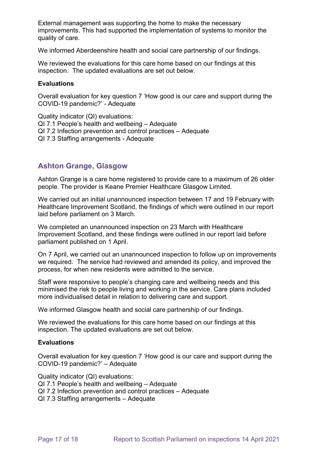External management was supporting the home to make the necessary improvements. This had supported the implementation of systems to monitor the quality of care.

We informed Aberdeenshire health and social care partnership of our findings.

We reviewed the evaluations for this care home based on our findings at this inspection. The updated evaluations are set out below.

#### **Evaluations**

Overall evaluation for key question 7 'How good is our care and support during the COVID-19 pandemic?' - Adequate

Quality indicator (QI) evaluations: QI 7.1 People's health and wellbeing – Adequate QI 7.2 Infection prevention and control practices – Adequate QI 7.3 Staffing arrangements - Adequate

# **Ashton Grange, Glasgow**

Ashton Grange is a care home registered to provide care to a maximum of 26 older people. The provider is Keane Premier Healthcare Glasgow Limited.

We carried out an initial unannounced inspection between 17 and 19 February with Healthcare Improvement Scotland, the findings of which were outlined in our report laid before parliament on 3 March.

We completed an unannounced inspection on 23 March with Healthcare Improvement Scotland, and these findings were outlined in our report laid before parliament published on 1 April.

On 7 April, we carried out an unannounced inspection to follow up on improvements we required. The service had reviewed and amended its policy, and improved the process, for when new residents were admitted to the service.

Staff were responsive to people's changing care and wellbeing needs and this minimised the risk to people living and working in the service. Care plans included more individualised detail in relation to delivering care and support.

We informed Glasgow health and social care partnership of our findings.

We reviewed the evaluations for this care home based on our findings at this inspection. The updated evaluations are set out below.

#### **Evaluations**

Overall evaluation for key question 7 'How good is our care and support during the COVID-19 pandemic?' – Adequate

Quality indicator (QI) evaluations:

- QI 7.1 People's health and wellbeing Adequate
- QI 7.2 Infection prevention and control practices Adequate
- QI 7.3 Staffing arrangements Adequate